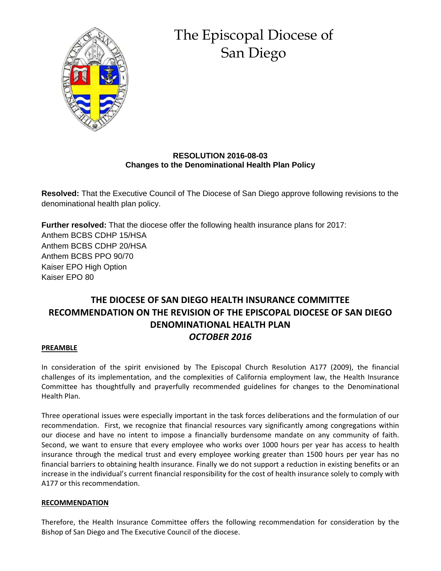

# The Episcopal Diocese of San Diego

### **RESOLUTION 2016-08-03 Changes to the Denominational Health Plan Policy**

**Resolved:** That the Executive Council of The Diocese of San Diego approve following revisions to the denominational health plan policy.

**Further resolved:** That the diocese offer the following health insurance plans for 2017: Anthem BCBS CDHP 15/HSA Anthem BCBS CDHP 20/HSA Anthem BCBS PPO 90/70 Kaiser EPO High Option Kaiser EPO 80

## **THE DIOCESE OF SAN DIEGO HEALTH INSURANCE COMMITTEE RECOMMENDATION ON THE REVISION OF THE EPISCOPAL DIOCESE OF SAN DIEGO DENOMINATIONAL HEALTH PLAN** *OCTOBER 2016*

#### **PREAMBLE**

In consideration of the spirit envisioned by The Episcopal Church Resolution A177 (2009), the financial challenges of its implementation, and the complexities of California employment law, the Health Insurance Committee has thoughtfully and prayerfully recommended guidelines for changes to the Denominational Health Plan.

Three operational issues were especially important in the task forces deliberations and the formulation of our recommendation. First, we recognize that financial resources vary significantly among congregations within our diocese and have no intent to impose a financially burdensome mandate on any community of faith. Second, we want to ensure that every employee who works over 1000 hours per year has access to health insurance through the medical trust and every employee working greater than 1500 hours per year has no financial barriers to obtaining health insurance. Finally we do not support a reduction in existing benefits or an increase in the individual's current financial responsibility for the cost of health insurance solely to comply with A177 or this recommendation.

#### **RECOMMENDATION**

Therefore, the Health Insurance Committee offers the following recommendation for consideration by the Bishop of San Diego and The Executive Council of the diocese.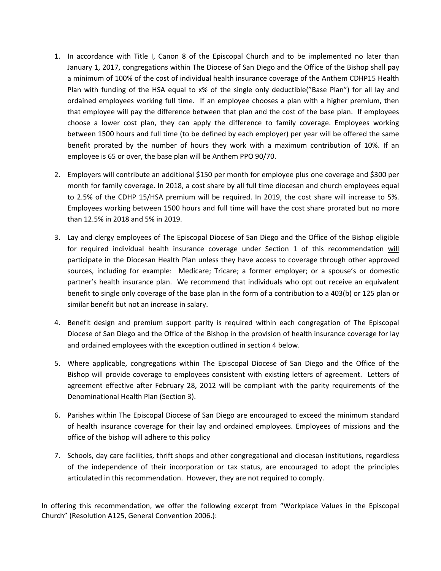- 1. In accordance with Title I, Canon 8 of the Episcopal Church and to be implemented no later than January 1, 2017, congregations within The Diocese of San Diego and the Office of the Bishop shall pay a minimum of 100% of the cost of individual health insurance coverage of the Anthem CDHP15 Health Plan with funding of the HSA equal to x% of the single only deductible("Base Plan") for all lay and ordained employees working full time. If an employee chooses a plan with a higher premium, then that employee will pay the difference between that plan and the cost of the base plan. If employees choose a lower cost plan, they can apply the difference to family coverage. Employees working between 1500 hours and full time (to be defined by each employer) per year will be offered the same benefit prorated by the number of hours they work with a maximum contribution of 10%. If an employee is 65 or over, the base plan will be Anthem PPO 90/70.
- 2. Employers will contribute an additional \$150 per month for employee plus one coverage and \$300 per month for family coverage. In 2018, a cost share by all full time diocesan and church employees equal to 2.5% of the CDHP 15/HSA premium will be required. In 2019, the cost share will increase to 5%. Employees working between 1500 hours and full time will have the cost share prorated but no more than 12.5% in 2018 and 5% in 2019.
- 3. Lay and clergy employees of The Episcopal Diocese of San Diego and the Office of the Bishop eligible for required individual health insurance coverage under Section 1 of this recommendation will participate in the Diocesan Health Plan unless they have access to coverage through other approved sources, including for example: Medicare; Tricare; a former employer; or a spouse's or domestic partner's health insurance plan. We recommend that individuals who opt out receive an equivalent benefit to single only coverage of the base plan in the form of a contribution to a 403(b) or 125 plan or similar benefit but not an increase in salary.
- 4. Benefit design and premium support parity is required within each congregation of The Episcopal Diocese of San Diego and the Office of the Bishop in the provision of health insurance coverage for lay and ordained employees with the exception outlined in section 4 below.
- 5. Where applicable, congregations within The Episcopal Diocese of San Diego and the Office of the Bishop will provide coverage to employees consistent with existing letters of agreement. Letters of agreement effective after February 28, 2012 will be compliant with the parity requirements of the Denominational Health Plan (Section 3).
- 6. Parishes within The Episcopal Diocese of San Diego are encouraged to exceed the minimum standard of health insurance coverage for their lay and ordained employees. Employees of missions and the office of the bishop will adhere to this policy
- 7. Schools, day care facilities, thrift shops and other congregational and diocesan institutions, regardless of the independence of their incorporation or tax status, are encouraged to adopt the principles articulated in this recommendation. However, they are not required to comply.

In offering this recommendation, we offer the following excerpt from "Workplace Values in the Episcopal Church" (Resolution A125, General Convention 2006.):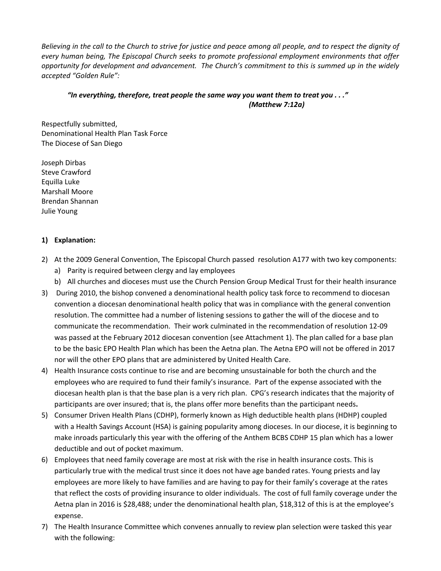Believing in the call to the Church to strive for justice and peace among all people, and to respect the dignity of *every human being, The Episcopal Church seeks to promote professional employment environments that offer opportunity for development and advancement. The Church's commitment to this is summed up in the widely accepted "Golden Rule":*

#### *"In everything, therefore, treat people the same way you want them to treat you . . ." (Matthew 7:12a)*

Respectfully submitted, Denominational Health Plan Task Force The Diocese of San Diego

Joseph Dirbas Steve Crawford Equilla Luke Marshall Moore Brendan Shannan Julie Young

#### **1) Explanation:**

- 2) At the 2009 General Convention, The Episcopal Church passed resolution A177 with two key components: a) Parity is required between clergy and lay employees
	- b) All churches and dioceses must use the Church Pension Group Medical Trust for their health insurance
- 3) During 2010, the bishop convened a denominational health policy task force to recommend to diocesan convention a diocesan denominational health policy that was in compliance with the general convention resolution. The committee had a number of listening sessions to gather the will of the diocese and to communicate the recommendation. Their work culminated in the recommendation of resolution 12‐09 was passed at the February 2012 diocesan convention (see Attachment 1). The plan called for a base plan to be the basic EPO Health Plan which has been the Aetna plan. The Aetna EPO will not be offered in 2017 nor will the other EPO plans that are administered by United Health Care.
- 4) Health Insurance costs continue to rise and are becoming unsustainable for both the church and the employees who are required to fund their family's insurance. Part of the expense associated with the diocesan health plan is that the base plan is a very rich plan. CPG's research indicates that the majority of participants are over insured; that is, the plans offer more benefits than the participant needs**.**
- 5) Consumer Driven Health Plans (CDHP), formerly known as High deductible health plans (HDHP) coupled with a Health Savings Account (HSA) is gaining popularity among dioceses. In our diocese, it is beginning to make inroads particularly this year with the offering of the Anthem BCBS CDHP 15 plan which has a lower deductible and out of pocket maximum.
- 6) Employees that need family coverage are most at risk with the rise in health insurance costs. This is particularly true with the medical trust since it does not have age banded rates. Young priests and lay employees are more likely to have families and are having to pay for their family's coverage at the rates that reflect the costs of providing insurance to older individuals. The cost of full family coverage under the Aetna plan in 2016 is \$28,488; under the denominational health plan, \$18,312 of this is at the employee's expense.
- 7) The Health Insurance Committee which convenes annually to review plan selection were tasked this year with the following: